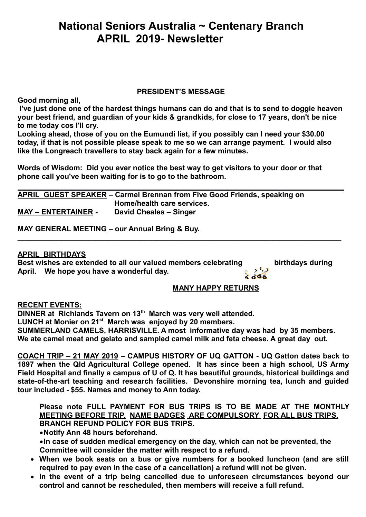# **National Seniors Australia ~ Centenary Branch APRIL 2019- Newsletter**

### **PRESIDENT'S MESSAGE**

**Good morning all,**

**I've just done one of the hardest things humans can do and that is to send to doggie heaven your best friend, and guardian of your kids & grandkids, for close to 17 years, don't be nice to me today cos I'll cry.**

**Looking ahead, those of you on the Eumundi list, if you possibly can I need your \$30.00 today, if that is not possible please speak to me so we can arrange payment. I would also like the Longreach travellers to stay back again for a few minutes.**

**Words of Wisdom: Did you ever notice the best way to get visitors to your door or that phone call you've been waiting for is to go to the bathroom.**

|                            | APRIL GUEST SPEAKER – Carmel Brennan from Five Good Friends, speaking on |
|----------------------------|--------------------------------------------------------------------------|
|                            | Home/health care services.                                               |
| <b>MAY - ENTERTAINER -</b> | David Cheales - Singer                                                   |

**MAY GENERAL MEETING – our Annual Bring & Buy.**

### **APRIL BIRTHDAYS**

**Best wishes are extended to all our valued members celebrating birthdays during April. We hope you have a wonderful day.** 

### **MANY HAPPY RETURNS**

**RECENT EVENTS:**

**DINNER at Richlands Tavern on 13th March was very well attended. LUNCH at Monier on 21st March was enjoyed by 20 members. SUMMERLAND CAMELS, HARRISVILLE. A most informative day was had by 35 members. We ate camel meat and gelato and sampled camel milk and feta cheese. A great day out.**

**\_\_\_\_\_\_\_\_\_\_\_\_\_\_\_\_\_\_\_\_\_\_\_\_\_\_\_\_\_\_\_\_\_\_\_\_\_\_\_\_\_\_\_\_\_\_\_\_\_\_\_\_\_\_\_\_\_\_\_\_\_\_\_\_\_\_\_\_\_\_\_\_\_\_\_\_\_\_\_**

**COACH TRIP – 21 MAY 2019 – CAMPUS HISTORY OF UQ GATTON - UQ Gatton dates back to 1897 when the Qld Agricultural College opened. It has since been a high school, US Army Field Hospital and finally a campus of U of Q. It has beautiful grounds, historical buildings and state-of-the-art teaching and research facilities. Devonshire morning tea, lunch and guided tour included - \$55. Names and money to Ann today.**

### **Please note FULL PAYMENT FOR BUS TRIPS IS TO BE MADE AT THE MONTHLY MEETING BEFORE TRIP. NAME BADGES ARE COMPULSORY FOR ALL BUS TRIPS. BRANCH REFUND POLICY FOR BUS TRIPS.**

**Notify Ann 48 hours beforehand.**

**In case of sudden medical emergency on the day, which can not be prevented, the Committee will consider the matter with respect to a refund.**

- **When we book seats on a bus or give numbers for a booked luncheon (and are still required to pay even in the case of a cancellation) a refund will not be given.**
- **In the event of a trip being cancelled due to unforeseen circumstances beyond our control and cannot be rescheduled, then members will receive a full refund.**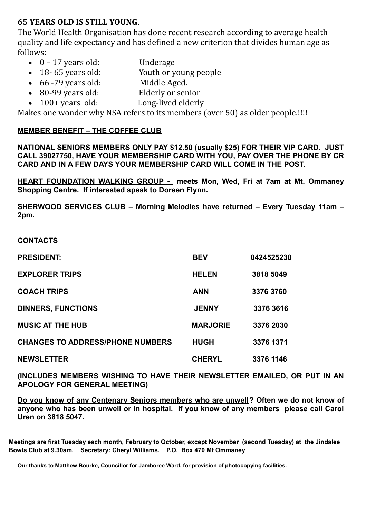## **65 YEARS OLD IS STILL YOUNG**.

The World Health Organisation has done recent research according to average health quality and life expectancy and has defined a new criterion that divides human age as follows:

- 0 17 years old: Underage
- 18- 65 years old: Youth or young people
- 66 -79 years old: Middle Aged.
- 80-99 years old: Elderly or senior
- 100+ years old: Long-lived elderly

Makes one wonder why NSA refers to its members (over 50) as older people.!!!!

## **MEMBER BENEFIT – THE COFFEE CLUB**

**NATIONAL SENIORS MEMBERS ONLY PAY \$12.50 (usually \$25) FOR THEIR VIP CARD. JUST CALL 39027750, HAVE YOUR MEMBERSHIP CARD WITH YOU, PAY OVER THE PHONE BY CR CARD AND IN A FEW DAYS YOUR MEMBERSHIP CARD WILL COME IN THE POST.**

**HEART FOUNDATION WALKING GROUP - meets Mon, Wed, Fri at 7am at Mt. Ommaney Shopping Centre. If interested speak to Doreen Flynn.**

**SHERWOOD SERVICES CLUB – Morning Melodies have returned – Every Tuesday 11am – 2pm.**

### **CONTACTS**

| <b>PRESIDENT:</b>                       | <b>BEV</b>      | 0424525230 |
|-----------------------------------------|-----------------|------------|
| <b>EXPLORER TRIPS</b>                   | <b>HELEN</b>    | 3818 5049  |
| <b>COACH TRIPS</b>                      | <b>ANN</b>      | 3376 3760  |
| <b>DINNERS, FUNCTIONS</b>               | <b>JENNY</b>    | 3376 3616  |
| <b>MUSIC AT THE HUB</b>                 | <b>MARJORIE</b> | 3376 2030  |
| <b>CHANGES TO ADDRESS/PHONE NUMBERS</b> | <b>HUGH</b>     | 3376 1371  |
| <b>NEWSLETTER</b>                       | <b>CHERYL</b>   | 3376 1146  |

**(INCLUDES MEMBERS WISHING TO HAVE THEIR NEWSLETTER EMAILED, OR PUT IN AN APOLOGY FOR GENERAL MEETING)** 

**Do you know of any Centenary Seniors members who are unwell? Often we do not know of anyone who has been unwell or in hospital. If you know of any members please call Carol Uren on 3818 5047.** 

**Meetings are first Tuesday each month, February to October, except November (second Tuesday) at the Jindalee Bowls Club at 9.30am. Secretary: Cheryl Williams. P.O. Box 470 Mt Ommaney** 

**Our thanks to Matthew Bourke, Councillor for Jamboree Ward, for provision of photocopying facilities.**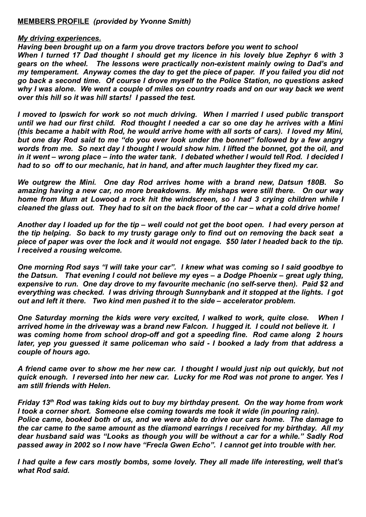#### **MEMBERS PROFILE** *(provided by Yvonne Smith)*

#### *My driving experiences.*

*Having been brought up on a farm you drove tractors before you went to school When I turned 17 Dad thought I should get my licence in his lovely blue Zephyr 6 with 3 gears on the wheel. The lessons were practically non-existent mainly owing to Dad's and my temperament. Anyway comes the day to get the piece of paper. If you failed you did not go back a second time. Of course I drove myself to the Police Station, no questions asked why I was alone. We went a couple of miles on country roads and on our way back we went over this hill so it was hill starts! I passed the test.*

*I moved to Ipswich for work so not much driving. When I married I used public transport until we had our first child. Rod thought I needed a car so one day he arrives with a Mini (this became a habit with Rod, he would arrive home with all sorts of cars). I loved my Mini, but one day Rod said to me "do you ever look under the bonnet" followed by a few angry words from me. So next day I thought I would show him. I lifted the bonnet, got the oil, and in it went – wrong place – into the water tank. I debated whether I would tell Rod. I decided I had to so off to our mechanic, hat in hand, and after much laughter they fixed my car.*

*We outgrew the Mini. One day Rod arrives home with a brand new, Datsun 180B. So amazing having a new car, no more breakdowns. My mishaps were still there. On our way home from Mum at Lowood a rock hit the windscreen, so I had 3 crying children while I cleaned the glass out. They had to sit on the back floor of the car – what a cold drive home!*

*Another day I loaded up for the tip – well could not get the boot open. I had every person at the tip helping. So back to my trusty garage only to find out on removing the back seat a piece of paper was over the lock and it would not engage. \$50 later I headed back to the tip. I received a rousing welcome.*

*One morning Rod says "I will take your car". I knew what was coming so I said goodbye to the Datsun. That evening I could not believe my eyes – a Dodge Phoenix – great ugly thing, expensive to run. One day drove to my favourite mechanic (no self-serve then). Paid \$2 and everything was checked. I was driving through Sunnybank and it stopped at the lights. I got out and left it there. Two kind men pushed it to the side – accelerator problem.*

*One Saturday morning the kids were very excited, I walked to work, quite close. When I arrived home in the driveway was a brand new Falcon. I hugged it. I could not believe it. I was coming home from school drop-off and got a speeding fine. Rod came along 2 hours later, yep you guessed it same policeman who said - I booked a lady from that address a couple of hours ago.*

*A friend came over to show me her new car. I thought I would just nip out quickly, but not quick enough. I reversed into her new car. Lucky for me Rod was not prone to anger. Yes I am still friends with Helen.*

*Friday 13th Rod was taking kids out to buy my birthday present. On the way home from work I took a corner short. Someone else coming towards me took it wide (in pouring rain). Police came, booked both of us, and we were able to drive our cars home. The damage to the car came to the same amount as the diamond earrings I received for my birthday. All my dear husband said was "Looks as though you will be without a car for a while." Sadly Rod passed away in 2002 so I now have "Frecla Gwen Echo". I cannot get into trouble with her.*

*I had quite a few cars mostly bombs, some lovely. They all made life interesting, well that's what Rod said.*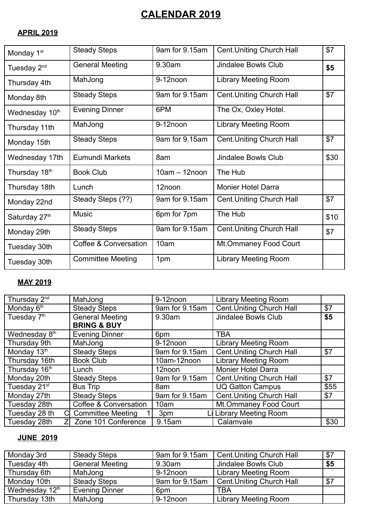# **CALENDAR 2019**

## **APRIL 2019**

| Monday 1 <sup>st</sup>     | <b>Steady Steps</b>              | 9am for 9.15am   | <b>Cent. Uniting Church Hall</b> | \$7  |
|----------------------------|----------------------------------|------------------|----------------------------------|------|
| Tuesday 2 <sup>nd</sup>    | <b>General Meeting</b>           | 9.30am           | Jindalee Bowls Club              | \$5  |
| Thursday 4th               | MahJong                          | 9-12noon         | <b>Library Meeting Room</b>      |      |
| Monday 8th                 | <b>Steady Steps</b>              | 9am for 9.15am   | <b>Cent. Uniting Church Hall</b> | \$7  |
| Wednesday 10 <sup>th</sup> | <b>Evening Dinner</b>            | 6PM              | The Ox, Oxley Hotel.             |      |
| Thursday 11th              | MahJong                          | 9-12noon         | <b>Library Meeting Room</b>      |      |
| Monday 15th                | <b>Steady Steps</b>              | 9am for 9.15am   | <b>Cent. Uniting Church Hall</b> | \$7  |
| Wednesday 17th             | <b>Eumundi Markets</b>           | 8am              | Jindalee Bowls Club              | \$30 |
| Thursday 18 <sup>th</sup>  | <b>Book Club</b>                 | $10am - 12n$ oon | The Hub                          |      |
| Thursday 18th              | Lunch                            | 12noon           | <b>Monier Hotel Darra</b>        |      |
| Monday 22nd                | Steady Steps (??)                | 9am for 9.15am   | <b>Cent. Uniting Church Hall</b> | \$7  |
| Saturday 27th              | <b>Music</b>                     | 6pm for 7pm      | The Hub                          | \$10 |
| Monday 29th                | <b>Steady Steps</b>              | 9am for 9.15am   | <b>Cent. Uniting Church Hall</b> | \$7  |
| Tuesday 30th               | <b>Coffee &amp; Conversation</b> | 10am             | Mt.Ommaney Food Court            |      |
| Tuesday 30th               | <b>Committee Meeting</b>         | 1pm              | <b>Library Meeting Room</b>      |      |

## **MAY 2019**

| Thursday 2 <sup>nd</sup>  | MahJong                  | 9-12noon       | <b>Library Meeting Room</b>      |      |
|---------------------------|--------------------------|----------------|----------------------------------|------|
| Monday 6 <sup>th</sup>    | <b>Steady Steps</b>      | 9am for 9.15am | <b>Cent. Uniting Church Hall</b> | \$7  |
| Tuesday 7 <sup>th</sup>   | <b>General Meeting</b>   | 9.30am         | <b>Jindalee Bowls Club</b>       | \$5  |
|                           | <b>BRING &amp; BUY</b>   |                |                                  |      |
| Wednesday 8 <sup>th</sup> | <b>Evening Dinner</b>    | 6pm            | <b>TBA</b>                       |      |
| Thursday 9th              | MahJong                  | 9-12noon       | <b>Library Meeting Room</b>      |      |
| Monday 13th               | <b>Steady Steps</b>      | 9am for 9.15am | <b>Cent. Uniting Church Hall</b> | \$7  |
| Thursday 16th             | <b>Book Club</b>         | 10am-12noon    | <b>Library Meeting Room</b>      |      |
| Thursday 16th             | Lunch                    | 12noon         | <b>Monier Hotel Darra</b>        |      |
| Monday 20th               | <b>Steady Steps</b>      | 9am for 9.15am | <b>Cent. Uniting Church Hall</b> | \$7  |
| Tuesday 21st              | <b>Bus Trip</b>          | 8am            | <b>UQ Gatton Campus</b>          | \$55 |
| Monday 27th               | <b>Steady Steps</b>      | 9am for 9.15am | <b>Cent. Uniting Church Hall</b> | \$7  |
| Tuesday 28th              | Coffee & Conversation    | 10am           | Mt.Ommaney Food Court            |      |
| Tuesday 28 th<br>Cl       | <b>Committee Meeting</b> | 3pm            | <b>Library Meeting Room</b>      |      |
| Tuesday 28th              | Zone 101 Conference      | 9.15am         | Calamvale                        | \$30 |

## **JUNE 2019**

| Monday 3rd     | <b>Steady Steps</b>    | 9am for 9.15am  | <b>Cent. Uniting Church Hall</b> | \$7 |
|----------------|------------------------|-----------------|----------------------------------|-----|
| Tuesday 4th    | <b>General Meeting</b> | 9.30am          | Jindalee Bowls Club              | \$5 |
| Thursday 6th   | MahJong                | 9-12noon        | <b>Library Meeting Room</b>      |     |
| Monday 10th    | <b>Steady Steps</b>    | 9am for 9.15am  | <b>Cent. Uniting Church Hall</b> | \$7 |
| Wednesday 12th | <b>Evening Dinner</b>  | 6 <sub>pm</sub> | TBA                              |     |
| Thursday 13th  | MahJong                | 9-12noon        | <b>Library Meeting Room</b>      |     |